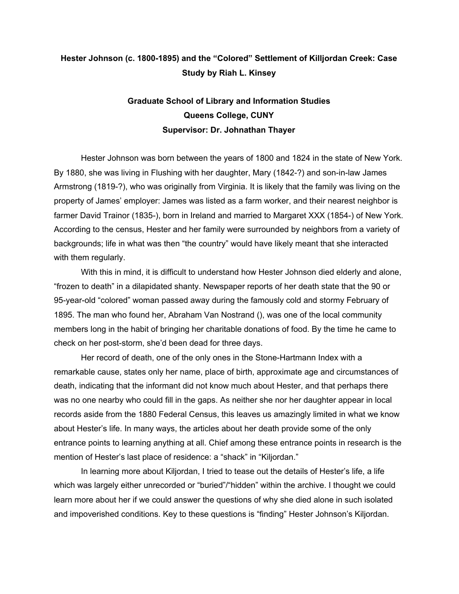## **Hester Johnson (c. 1800-1895) and the "Colored" Settlement of Killjordan Creek: Case Study by Riah L. Kinsey**

## **Graduate School of Library and Information Studies Queens College, CUNY Supervisor: Dr. Johnathan Thayer**

Hester Johnson was born between the years of 1800 and 1824 in the state of New York. By 1880, she was living in Flushing with her daughter, Mary (1842-?) and son-in-law James Armstrong (1819-?), who was originally from Virginia. It is likely that the family was living on the property of James' employer: James was listed as a farm worker, and their nearest neighbor is farmer David Trainor (1835-), born in Ireland and married to Margaret XXX (1854-) of New York. According to the census, Hester and her family were surrounded by neighbors from a variety of backgrounds; life in what was then "the country" would have likely meant that she interacted with them regularly.

With this in mind, it is difficult to understand how Hester Johnson died elderly and alone, "frozen to death" in a dilapidated shanty. Newspaper reports of her death state that the 90 or 95-year-old "colored" woman passed away during the famously cold and stormy February of 1895. The man who found her, Abraham Van Nostrand (), was one of the local community members long in the habit of bringing her charitable donations of food. By the time he came to check on her post-storm, she'd been dead for three days.

Her record of death, one of the only ones in the Stone-Hartmann Index with a remarkable cause, states only her name, place of birth, approximate age and circumstances of death, indicating that the informant did not know much about Hester, and that perhaps there was no one nearby who could fill in the gaps. As neither she nor her daughter appear in local records aside from the 1880 Federal Census, this leaves us amazingly limited in what we know about Hester's life. In many ways, the articles about her death provide some of the only entrance points to learning anything at all. Chief among these entrance points in research is the mention of Hester's last place of residence: a "shack" in "Kiljordan."

In learning more about Kiljordan, I tried to tease out the details of Hester's life, a life which was largely either unrecorded or "buried"/"hidden" within the archive. I thought we could learn more about her if we could answer the questions of why she died alone in such isolated and impoverished conditions. Key to these questions is "finding" Hester Johnson's Kiljordan.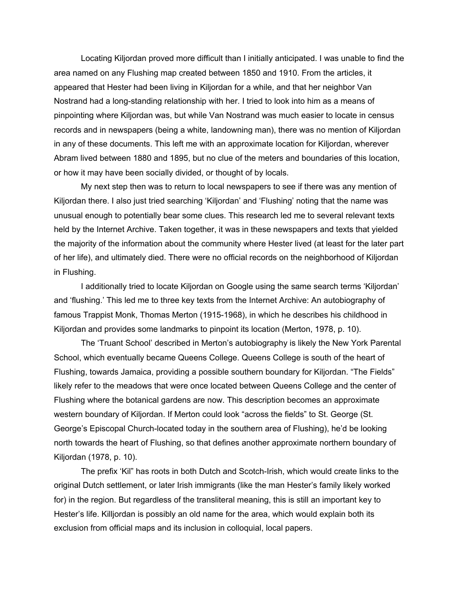Locating Kiljordan proved more difficult than I initially anticipated. I was unable to find the area named on any Flushing map created between 1850 and 1910. From the articles, it appeared that Hester had been living in Kiljordan for a while, and that her neighbor Van Nostrand had a long-standing relationship with her. I tried to look into him as a means of pinpointing where Kiljordan was, but while Van Nostrand was much easier to locate in census records and in newspapers (being a white, landowning man), there was no mention of Kiljordan in any of these documents. This left me with an approximate location for Kiljordan, wherever Abram lived between 1880 and 1895, but no clue of the meters and boundaries of this location, or how it may have been socially divided, or thought of by locals.

My next step then was to return to local newspapers to see if there was any mention of Kiljordan there. I also just tried searching 'Kiljordan' and 'Flushing' noting that the name was unusual enough to potentially bear some clues. This research led me to several relevant texts held by the Internet Archive. Taken together, it was in these newspapers and texts that yielded the majority of the information about the community where Hester lived (at least for the later part of her life), and ultimately died. There were no official records on the neighborhood of Kiljordan in Flushing.

I additionally tried to locate Kiljordan on Google using the same search terms 'Kiljordan' and 'flushing.' This led me to three key texts from the Internet Archive: An autobiography of famous Trappist Monk, Thomas Merton (1915-1968), in which he describes his childhood in Kiljordan and provides some landmarks to pinpoint its location (Merton, 1978, p. 10).

The 'Truant School' described in Merton's autobiography is likely the New York Parental School, which eventually became Queens College. Queens College is south of the heart of Flushing, towards Jamaica, providing a possible southern boundary for Kiljordan. "The Fields" likely refer to the meadows that were once located between Queens College and the center of Flushing where the botanical gardens are now. This description becomes an approximate western boundary of Kiljordan. If Merton could look "across the fields" to St. George (St. George's Episcopal Church-located today in the southern area of Flushing), he'd be looking north towards the heart of Flushing, so that defines another approximate northern boundary of Kiljordan (1978, p. 10).

The prefix 'Kil" has roots in both Dutch and Scotch-Irish, which would create links to the original Dutch settlement, or later Irish immigrants (like the man Hester's family likely worked for) in the region. But regardless of the transliteral meaning, this is still an important key to Hester's life. Killjordan is possibly an old name for the area, which would explain both its exclusion from official maps and its inclusion in colloquial, local papers.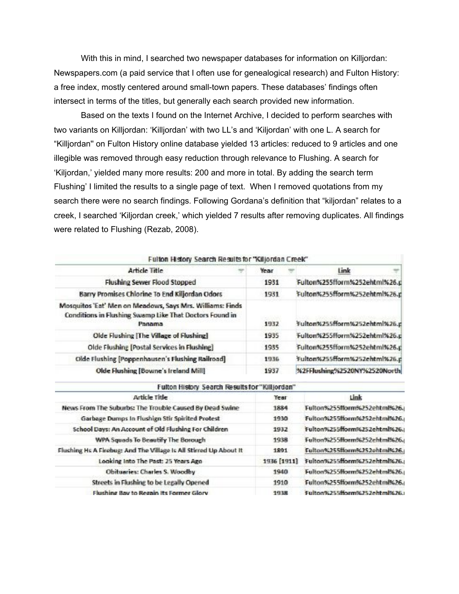With this in mind, I searched two newspaper databases for information on Killjordan: Newspapers.com (a paid service that I often use for genealogical research) and Fulton History: a free index, mostly centered around small-town papers. These databases' findings often intersect in terms of the titles, but generally each search provided new information.

Based on the texts I found on the Internet Archive, I decided to perform searches with two variants on Killjordan: 'Killjordan' with two LL's and 'Kiljordan' with one L. A search for "Killjordan'' on Fulton History online database yielded 13 articles: reduced to 9 articles and one illegible was removed through easy reduction through relevance to Flushing. A search for 'Kiljordan,' yielded many more results: 200 and more in total. By adding the search term Flushing' I limited the results to a single page of text. When I removed quotations from my search there were no search findings. Following Gordana's definition that "kiljordan" relates to a creek, I searched 'Kiljordan creek,' which yielded 7 results after removing duplicates. All findings were related to Flushing (Rezab, 2008).

| Fulton History Search Results for "Kiljordan Creek"<br><b>Article Title</b>                                                    | <b>Year</b> | Link                          |
|--------------------------------------------------------------------------------------------------------------------------------|-------------|-------------------------------|
| Flushing Sewer Flood Stopped                                                                                                   | 1931        | Fulton%255fform%252ehtml%26.p |
| Barry Promises Chlorine To End Kiljordan Odors                                                                                 | 1931        | Fulton%255fform%252ehtml%26.c |
| Mosquitos 'Eat' Men on Meadows, Says Mrs. Williams: Finds<br>Conditions in Flushing Swamp Like That Doctors Found in<br>Panama | 1932        | Fulton%255fform%252ehtml%26.p |
| Olde Flushing [The Village of Flushing]                                                                                        | 1935        | Fulton%255fform%252ehtml%26.p |
| Olde Flushing [Postal Services in Flushing]                                                                                    | 1935        | Fulton%255fform%252ehtml%26.p |
| Olde Flushing [Poppenhausen's Flushing Railroad]                                                                               | 1936        | Fulton%255fform%252ehtml%26.p |
| <b>Olde Flushing [Bowne's Ireland Mill]</b>                                                                                    | 1937        | %2FFlushing%2S20NY%2S20North  |

| Fulton History Search Results for "Killjordan"                    |             |                              |
|-------------------------------------------------------------------|-------------|------------------------------|
| Article Title                                                     | Tear        | Link:                        |
| News From The Suburbs: The Trouble Caused By Dead Swine           | 1884        | Fulton%255fform%252ehtml%26  |
| Garbage Dumps In Flushign Stir Spirited Protest                   | 1930        | Fulton%255fform%252ehtml%26. |
| School Days: An Account of Old Flushing For Children              | 1932        | Fulton%255fform%252ehtml%26  |
| WPA Squads To Beautify The Borough                                | 1938        | Fulton%255fform%252ehtml%26  |
| Fluching Hc A Finebug: And The Village Ic All Stirred Up About It | 1201        | Fulton%255fform%252ehtml%26. |
| Looking Into The Past: 25 Years Ago                               | 1936 [1911] | Fulton%255fform%252ehtml%26  |
| <b>Obituaries: Charles S. Woodby</b>                              | 1940        | Fullon%255fform%252ehhol%26  |
| Streets in Flushing to be Legally Opened                          | 1910        | Fulton%255fform%252ehtml%26  |
| <b>Elushing Bay to Regain Its Engmer Glory</b>                    | 1938        | Eulton%255fform%252ehtml%26  |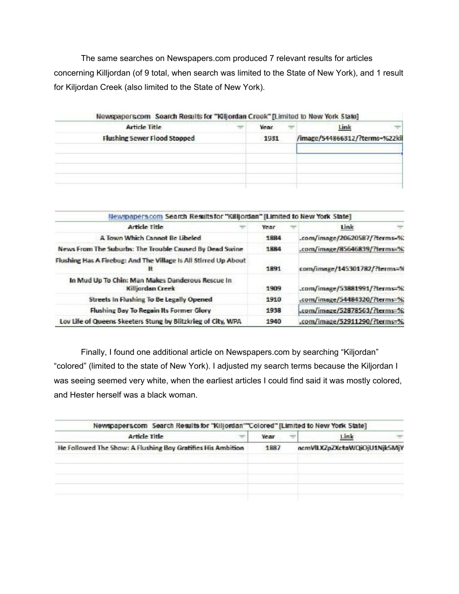The same searches on Newspapers.com produced 7 relevant results for articles concerning Killjordan (of 9 total, when search was limited to the State of New York), and 1 result for Kiljordan Creek (also limited to the State of New York).

| Newspapers.com Search Results for "Kiljordan Creek" [Limited to New York State] |             |                                |
|---------------------------------------------------------------------------------|-------------|--------------------------------|
| Article Title                                                                   | <b>Year</b> | Link                           |
| <b>Flushing Sewer Flood Stopped</b>                                             | 1931        | /image/544866312/?terms-%22kil |
|                                                                                 |             |                                |
|                                                                                 |             |                                |
|                                                                                 |             |                                |
|                                                                                 |             |                                |

| Newspapers.com Search Results for "Killijordan" [Limited to New York State] |       |                              |
|-----------------------------------------------------------------------------|-------|------------------------------|
| <b>Article Title</b>                                                        | Year. | Link                         |
| A Town Which Cannot Be Libeled                                              | 1884  | .com/image/20620587/?terms=% |
| News From The Suburbs: The Trouble Caused By Dead Swine                     | 1884  | .com/image/85646839/?terms=% |
| Flushing Has A Firebug: And The Village Is All Stirred Up About             | 1891  | com/image/145301782/?terms=% |
| In Mud Up To Chin: Man Makes Danderous Rescue In<br><b>Killjordan Creek</b> | 1909  | .com/image/53881991/?terms=% |
| Streets in Flushing To Be Legally Opened                                    | 1910  | .com/image/54484320/?terms=% |
| Flushing Bay To Regain Its Former Glory                                     | 1938  | .com/image/52878563/?terms=% |
| Lov Life of Queens Skeeters Stung by Blitzkrieg of City, WPA                | 1940  | .com/image/52911290/?terms=% |

Finally, I found one additional article on Newspapers.com by searching "Kiljordan" "colored" (limited to the state of New York). I adjusted my search terms because the Kiljordan I was seeing seemed very white, when the earliest articles I could find said it was mostly colored, and Hester herself was a black woman.

| Newspapers.com Search Results for "Kiljordan""Colored" [Limited to New York State] |      |                              |  |  |  |  |
|------------------------------------------------------------------------------------|------|------------------------------|--|--|--|--|
| Article Title                                                                      | Year | Link                         |  |  |  |  |
| He Followed The Show: A Flushing Boy Gratifies His Ambition                        | 1887 | ncmVILXZpZXctaWQiOjU1Njk5MjY |  |  |  |  |
|                                                                                    |      |                              |  |  |  |  |
|                                                                                    |      |                              |  |  |  |  |
|                                                                                    |      |                              |  |  |  |  |
|                                                                                    |      |                              |  |  |  |  |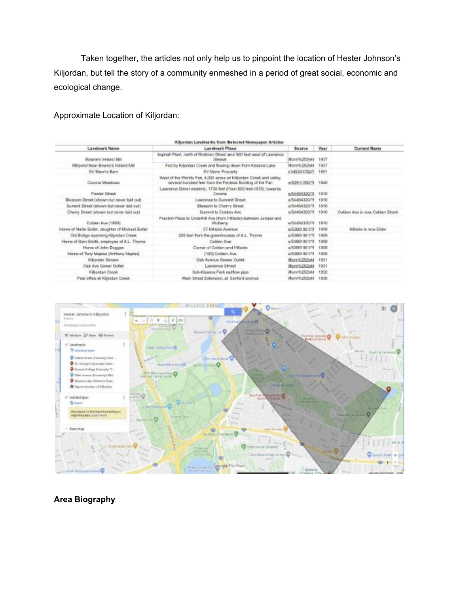Taken together, the articles not only help us to pinpoint the location of Hester Johnson's Kiljordan, but tell the story of a community enmeshed in a period of great social, economic and ecological change.

Approximate Location of Kiljordan:

| <b>Landmark Name</b>                              | <b>Londmark Place</b>                                                                                                               | <b>Bource</b> : | Year | <b>Current Name</b>             |  |
|---------------------------------------------------|-------------------------------------------------------------------------------------------------------------------------------------|-----------------|------|---------------------------------|--|
| Rowne's treased Mill                              | Asphalt Plant, north of Rodman Street and 500 feet west of Lawrence<br>Streamt                                                      | 18pm/%252eht    | 1937 |                                 |  |
| Millpond Near Bowno's Iroland Mill                | Fed by Killordan Creek and flowing: down from Kissena Lake                                                                          | ittom/%252oht   | 1987 |                                 |  |
| BV Mann's Barn                                    | SV Mann Property                                                                                                                    | 514530178207    | 1891 |                                 |  |
| Corpora Meadows                                   | West of the Worlds Fair, 4,000 pores of Kiljordan Creek and valley.<br>several hundred feet from the Fecleral Building of the Fair. | +52911290/11    | 1940 |                                 |  |
| Fowler Street                                     | Lawrence Street westerly; 1730 feet (fligm 800 feet-1875); towards<br>Corona                                                        | a/54464320/7f   | 1910 |                                 |  |
| Blassom Street (shown but never laid out)         | Lowrence to Summit Street                                                                                                           | A/564/4320/7f   | 1910 |                                 |  |
| Summit Street (shown but never laid out)          | Blossom to Cherry Street                                                                                                            | a/54494320/?f   | 1910 |                                 |  |
| Cherry Street (shown but never leid out)          | Surrent to Colden Ave                                                                                                               | 6/5449432079    | 1910 | Colden Ave is now Colden Street |  |
| Colden Ave (1993)                                 | Pranklin Place to Underhill Ave (from Hillsree)-between Jumper and<br>Mulberry                                                      | #/56494320/?f   | 1910 |                                 |  |
| Home of Nelle Butler, deughter of Michael Butler. | 57 Hillside Avenue                                                                                                                  | A/53991991/?f   | 1909 | Hillside is now Elder           |  |
| Old Bridge spanning Kiljordan Creek.              | 200 feet from the greenhouses of A.L. Thoma                                                                                         | a/53881991/11   | 1909 |                                 |  |
| Home of Sam Smith, employee of A.L. Thome         | Colden Ave                                                                                                                          | a/53881901/W    | 1000 |                                 |  |
| Home of John Duggen                               | Cotter of Colden and Hillside                                                                                                       | e/5388199 U79   | 1909 |                                 |  |
| Horne of Tony Maples (Anthony Naples)             | [120] Colden Ave                                                                                                                    | a/5388199V7f    | 1000 |                                 |  |
| Kiljordan Stream                                  | Oak Avenue Sewer Outlet                                                                                                             | ifform%252eht   | 1931 |                                 |  |
| Cak Ave Sewer Outlet                              | Lawrence Street                                                                                                                     | itlarm/6252oht  | 1981 |                                 |  |
| Killiordan Creek                                  | Sub-Kissena Park outflow pipe                                                                                                       | illisen/6252eN  | 1932 |                                 |  |
| Post office at Kiljordan Creek                    | Main Street Extension, et. Sanford avenue                                                                                           | (8pm/%252dM)    | 1035 |                                 |  |



**Area Biography**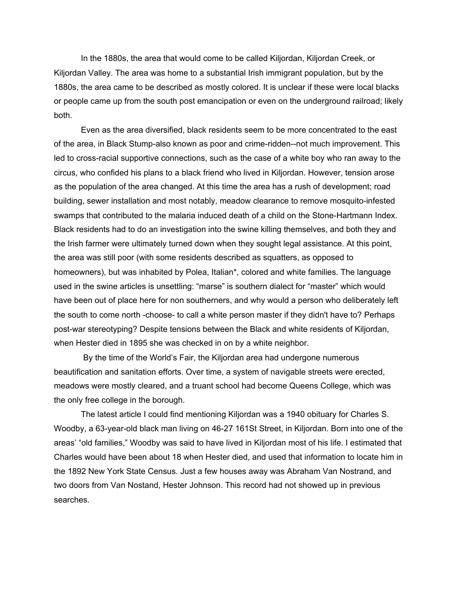In the 1880s, the area that would come to be called Kiljordan, Kiljordan Creek, or Kiljordan Valley. The area was home to a substantial Irish immigrant population, but by the 1880s, the area came to be described as mostly colored. It is unclear if these were local blacks or people came up from the south post emancipation or even on the underground railroad; likely both.

Even as the area diversified, black residents seem to be more concentrated to the east of the area, in Black Stump-also known as poor and crime-ridden--not much improvement. This led to cross-racial supportive connections, such as the case of a white boy who ran away to the circus, who confided his plans to a black friend who lived in Kiljordan. However, tension arose as the population of the area changed. At this time the area has a rush of development; road building, sewer installation and most notably, meadow clearance to remove mosquito-infested swamps that contributed to the malaria induced death of a child on the Stone-Hartmann Index. Black residents had to do an investigation into the swine killing themselves, and both they and the Irish farmer were ultimately turned down when they sought legal assistance. At this point, the area was still poor (with some residents described as squatters, as opposed to homeowners), but was inhabited by Polea, Italian\*, colored and white families. The language used in the swine articles is unsettling: "marse" is southern dialect for "master" which would have been out of place here for non southerners, and why would a person who deliberately left the south to come north -choose- to call a white person master if they didn't have to? Perhaps post-war stereotyping? Despite tensions between the Black and white residents of Kiljordan, when Hester died in 1895 she was checked in on by a white neighbor.

By the time of the World's Fair, the Kiljordan area had undergone numerous beautification and sanitation efforts. Over time, a system of navigable streets were erected, meadows were mostly cleared, and a truant school had become Queens College, which was the only free college in the borough.

The latest article I could find mentioning Kiljordan was a 1940 obituary for Charles S. Woodby, a 63-year-old black man living on 46-27 161St Street, in Kiljordan. Born into one of the areas' "old families," Woodby was said to have lived in Kiljordan most of his life. I estimated that Charles would have been about 18 when Hester died, and used that information to locate him in the 1892 New York State Census. Just a few houses away was Abraham Van Nostrand, and two doors from Van Nostand, Hester Johnson. This record had not showed up in previous searches.